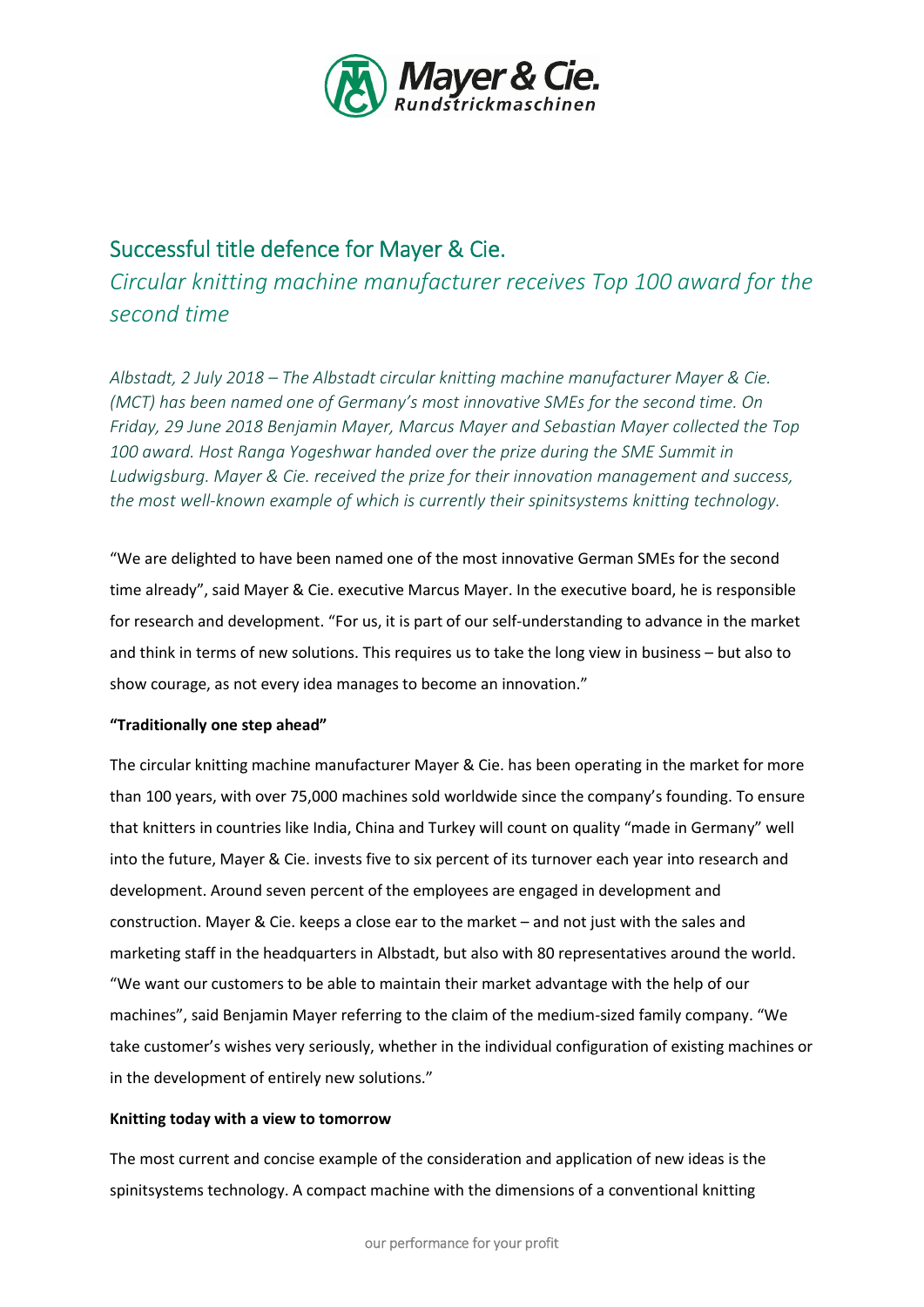

# Successful title defence for Mayer & Cie.

*Circular knitting machine manufacturer receives Top 100 award for the second time*

*Albstadt, 2 July 2018 – The Albstadt circular knitting machine manufacturer Mayer & Cie. (MCT) has been named one of Germany's most innovative SMEs for the second time. On Friday, 29 June 2018 Benjamin Mayer, Marcus Mayer and Sebastian Mayer collected the Top 100 award. Host Ranga Yogeshwar handed over the prize during the SME Summit in Ludwigsburg. Mayer & Cie. received the prize for their innovation management and success, the most well-known example of which is currently their spinitsystems knitting technology.*

"We are delighted to have been named one of the most innovative German SMEs for the second time already", said Mayer & Cie. executive Marcus Mayer. In the executive board, he is responsible for research and development. "For us, it is part of our self-understanding to advance in the market and think in terms of new solutions. This requires us to take the long view in business – but also to show courage, as not every idea manages to become an innovation."

## "Traditionally one step ahead"

The circular knitting machine manufacturer Mayer & Cie. has been operating in the market for more than 100 years, with over 75,000 machines sold worldwide since the company's founding. To ensure that knitters in countries like India, China and Turkey will count on quality "made in Germany" well into the future, Mayer & Cie. invests five to six percent of its turnover each year into research and development. Around seven percent of the employees are engaged in development and construction. Mayer & Cie. keeps a close ear to the market – and not just with the sales and marketing staff in the headquarters in Albstadt, but also with 80 representatives around the world. "We want our customers to be able to maintain their market advantage with the help of our machines", said Benjamin Mayer referring to the claim of the medium-sized family company. "We take customer's wishes very seriously, whether in the individual configuration of existing machines or in the development of entirely new solutions."

#### Knitting today with a view to tomorrow

The most current and concise example of the consideration and application of new ideas is the spinitsystems technology. A compact machine with the dimensions of a conventional knitting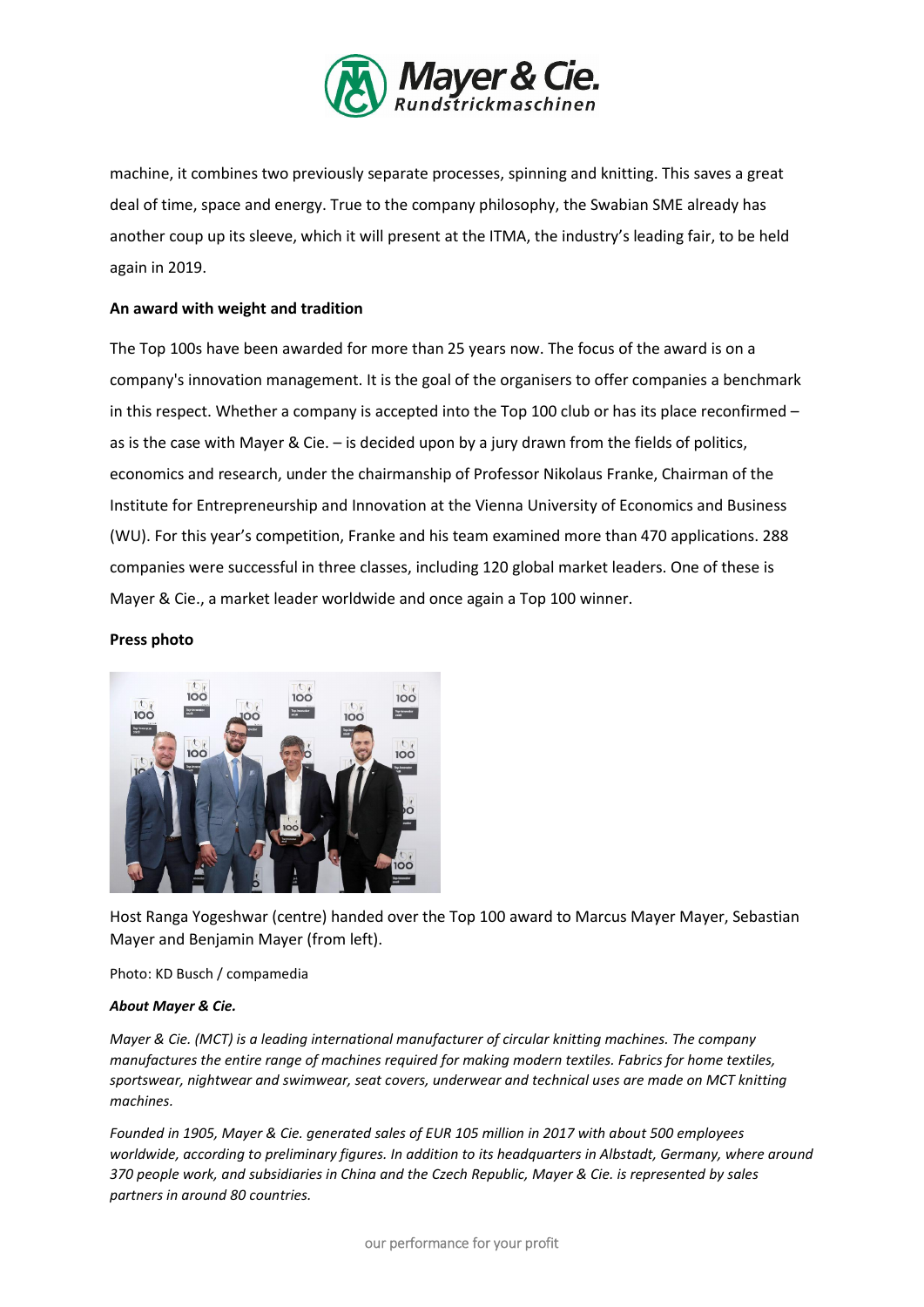

machine, it combines two previously separate processes, spinning and knitting. This saves a great deal of time, space and energy. True to the company philosophy, the Swabian SME already has another coup up its sleeve, which it will present at the ITMA, the industry's leading fair, to be held again in 2019.

### An award with weight and tradition

The Top 100s have been awarded for more than 25 years now. The focus of the award is on a company's innovation management. It is the goal of the organisers to offer companies a benchmark in this respect. Whether a company is accepted into the Top 100 club or has its place reconfirmed – as is the case with Mayer & Cie. – is decided upon by a jury drawn from the fields of politics, economics and research, under the chairmanship of Professor Nikolaus Franke, Chairman of the Institute for Entrepreneurship and Innovation at the Vienna University of Economics and Business (WU). For this year's competition, Franke and his team examined more than 470 applications. 288 companies were successful in three classes, including 120 global market leaders. One of these is Mayer & Cie., a market leader worldwide and once again a Top 100 winner.

#### Press photo



Host Ranga Yogeshwar (centre) handed over the Top 100 award to Marcus Mayer Mayer, Sebastian Mayer and Benjamin Mayer (from left).

Photo: KD Busch / compamedia

#### *About Mayer & Cie.*

*Mayer & Cie. (MCT) is a leading international manufacturer of circular knitting machines. The company manufactures the entire range of machines required for making modern textiles. Fabrics for home textiles, sportswear, nightwear and swimwear, seat covers, underwear and technical uses are made on MCT knitting machines.* 

*Founded in 1905, Mayer & Cie. generated sales of EUR 105 million in 2017 with about 500 employees worldwide, according to preliminary figures. In addition to its headquarters in Albstadt, Germany, where around 370 people work, and subsidiaries in China and the Czech Republic, Mayer & Cie. is represented by sales partners in around 80 countries.*